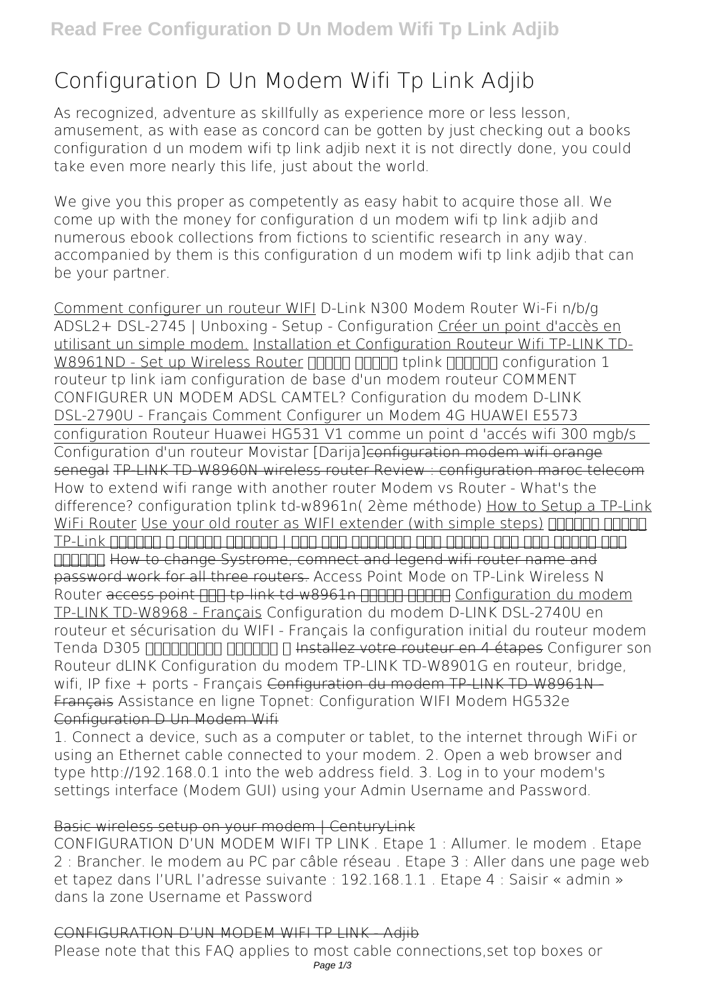# **Configuration D Un Modem Wifi Tp Link Adjib**

As recognized, adventure as skillfully as experience more or less lesson, amusement, as with ease as concord can be gotten by just checking out a books **configuration d un modem wifi tp link adjib** next it is not directly done, you could take even more nearly this life, just about the world.

We give you this proper as competently as easy habit to acquire those all. We come up with the money for configuration d un modem wifi tp link adjib and numerous ebook collections from fictions to scientific research in any way. accompanied by them is this configuration d un modem wifi tp link adjib that can be your partner.

Comment configurer un routeur WIFI **D-Link N300 Modem Router Wi-Fi n/b/g ADSL2+ DSL-2745 | Unboxing - Setup - Configuration** Créer un point d'accès en utilisant un simple modem. Installation et Configuration Routeur Wifi TP-LINK TD-W8961ND - Set up Wireless Router חחחח החחח tplink השפחה configuration 1 routeur tp link iam configuration de base d'un modem routeur COMMENT CONFIGURER UN MODEM ADSL CAMTEL? *Configuration du modem D-LINK DSL-2790U - Français* **Comment Configurer un Modem 4G HUAWEI E5573** configuration Routeur Huawei HG531 V1 comme un point d 'accés wifi 300 mgb/s Configuration d'un routeur Movistar [Darija]configuration modem wifi orange senegal TP-LINK TD-W8960N wireless router Review : configuration maroc telecom How to extend wifi range with another router *Modem vs Router - What's the difference? configuration tplink td-w8961n( 2ème méthode)* How to Setup a TP-Link WiFi Router Use your old router as WIFI extender (with simple steps) חחחחח חחחח اذه يرتشت فوس كنا دكاتم انا ويديفلا اذه دعب | هدادعا ةقيرط و عئارلا Link-TP **COLCO HOW to change Systrome, comnect and legend wifi router name and** password work for all three routers. *Access Point Mode on TP-Link Wireless N* **Router** access point **ODE to link td-w8961n DDDER DDDER** Configuration du modem TP-LINK TD-W8968 - Français *Configuration du modem D-LINK DSL-2740U en routeur et sécurisation du WIFI - Français la configuration initial du routeur modem Tenda D305 تادادعالا يلوألا ل* Installez votre routeur en 4 étapes *Configurer son Routeur dLINK* **Configuration du modem TP-LINK TD-W8901G en routeur, bridge,** wifi, IP fixe + ports - Français Configuration du modem TP LINK TD W8961N -Français **Assistance en ligne Topnet: Configuration WIFI Modem HG532e** Configuration D Un Modem Wifi

1. Connect a device, such as a computer or tablet, to the internet through WiFi or using an Ethernet cable connected to your modem. 2. Open a web browser and type http://192.168.0.1 into the web address field. 3. Log in to your modem's settings interface (Modem GUI) using your Admin Username and Password.

#### Basic wireless setup on your modem | CenturyLink

CONFIGURATION D'UN MODEM WIFI TP LINK . Etape 1 : Allumer. le modem . Etape 2 : Brancher. le modem au PC par câble réseau . Etape 3 : Aller dans une page web et tapez dans l'URL l'adresse suivante : 192.168.1.1 . Etape 4 : Saisir « admin » dans la zone Username et Password

#### CONFIGURATION D'UN MODEM WIFI TP LINK - Adjib

Please note that this FAQ applies to most cable connections,set top boxes or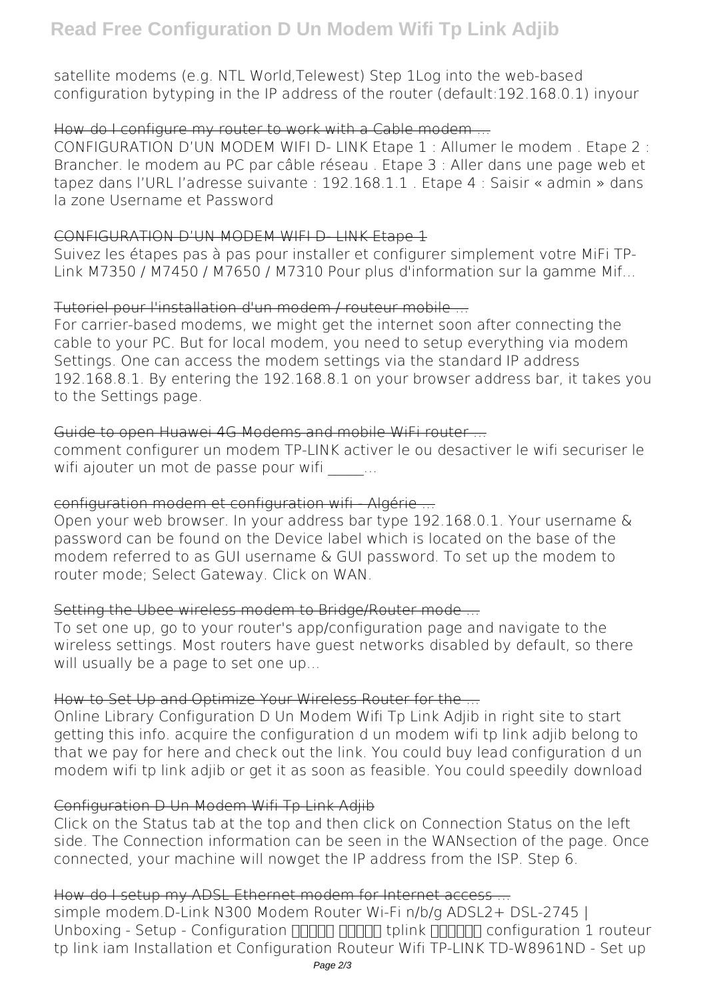satellite modems (e.g. NTL World,Telewest) Step 1Log into the web-based configuration bytyping in the IP address of the router (default:192.168.0.1) inyour

## How do I configure my router to work with a Cable modem ...

CONFIGURATION D'UN MODEM WIFI D- LINK Etape 1 : Allumer le modem . Etape 2 : Brancher. le modem au PC par câble réseau . Etape 3 : Aller dans une page web et tapez dans l'URL l'adresse suivante : 192.168.1.1 . Etape 4 : Saisir « admin » dans la zone Username et Password

## CONFIGURATION D'UN MODEM WIFI D- LINK Etape 1

Suivez les étapes pas à pas pour installer et configurer simplement votre MiFi TP-Link M7350 / M7450 / M7650 / M7310 Pour plus d'information sur la gamme Mif...

# Tutoriel pour l'installation d'un modem / routeur mobile

For carrier-based modems, we might get the internet soon after connecting the cable to your PC. But for local modem, you need to setup everything via modem Settings. One can access the modem settings via the standard IP address 192.168.8.1. By entering the 192.168.8.1 on your browser address bar, it takes you to the Settings page.

## Guide to open Huawei 4G Modems and mobile WiFi router ...

comment configurer un modem TP-LINK activer le ou desactiver le wifi securiser le wifi ajouter un mot de passe pour wifi  $\cdots$ 

## configuration modem et configuration wifi Algérie -

Open your web browser. In your address bar type 192.168.0.1. Your username & password can be found on the Device label which is located on the base of the modem referred to as GUI username & GUI password. To set up the modem to router mode; Select Gateway. Click on WAN.

# Setting the Ubee wireless modem to Bridge/Router mode ...

To set one up, go to your router's app/configuration page and navigate to the wireless settings. Most routers have guest networks disabled by default, so there will usually be a page to set one up...

# How to Set Up and Optimize Your Wireless Router for the ...

Online Library Configuration D Un Modem Wifi Tp Link Adjib in right site to start getting this info. acquire the configuration d un modem wifi tp link adjib belong to that we pay for here and check out the link. You could buy lead configuration d un modem wifi tp link adjib or get it as soon as feasible. You could speedily download

# Configuration D Un Modem Wifi Tp Link Adjib

Click on the Status tab at the top and then click on Connection Status on the left side. The Connection information can be seen in the WANsection of the page. Once connected, your machine will nowget the IP address from the ISP. Step 6.

# How do I setup my ADSL Ethernet modem for Internet access ...

simple modem.D-Link N300 Modem Router Wi-Fi n/b/g ADSL2+ DSL-2745 | Unboxing - Setup - Configuration  $\Box \Box \Box \Box \Box \Box$  tplink  $\Box \Box \Box \Box \Box$  configuration 1 routeur tp link iam Installation et Configuration Routeur Wifi TP-LINK TD-W8961ND - Set up